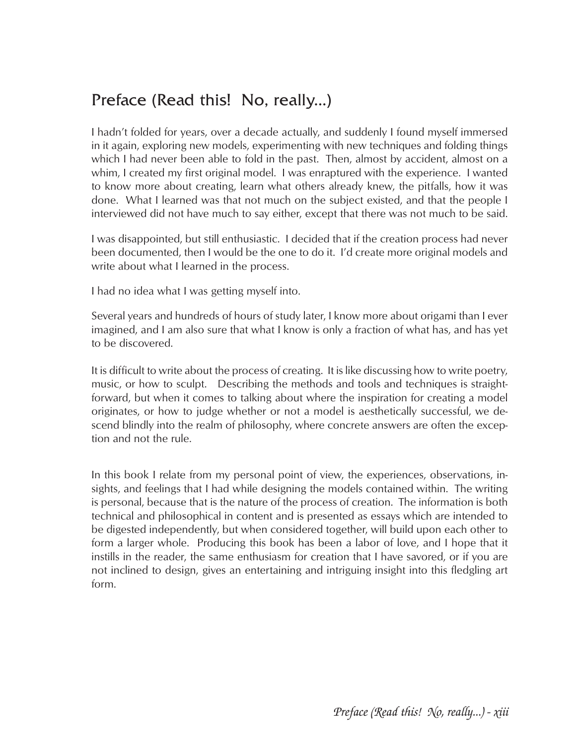## Preface (Read this! No, really...)

I hadn't folded for years, over a decade actually, and suddenly I found myself immersed in it again, exploring new models, experimenting with new techniques and folding things which I had never been able to fold in the past. Then, almost by accident, almost on a whim, I created my first original model. I was enraptured with the experience. I wanted to know more about creating, learn what others already knew, the pitfalls, how it was done. What I learned was that not much on the subject existed, and that the people I interviewed did not have much to say either, except that there was not much to be said.

I was disappointed, but still enthusiastic. I decided that if the creation process had never been documented, then I would be the one to do it. I'd create more original models and write about what I learned in the process.

I had no idea what I was getting myself into.

Several years and hundreds of hours of study later, I know more about origami than I ever imagined, and I am also sure that what I know is only a fraction of what has, and has yet to be discovered.

It is difficult to write about the process of creating. It is like discussing how to write poetry, music, or how to sculpt. Describing the methods and tools and techniques is straightforward, but when it comes to talking about where the inspiration for creating a model originates, or how to judge whether or not a model is aesthetically successful, we descend blindly into the realm of philosophy, where concrete answers are often the exception and not the rule.

In this book I relate from my personal point of view, the experiences, observations, insights, and feelings that I had while designing the models contained within. The writing is personal, because that is the nature of the process of creation. The information is both technical and philosophical in content and is presented as essays which are intended to be digested independently, but when considered together, will build upon each other to form a larger whole. Producing this book has been a labor of love, and I hope that it instills in the reader, the same enthusiasm for creation that I have savored, or if you are not inclined to design, gives an entertaining and intriguing insight into this fledgling art form.